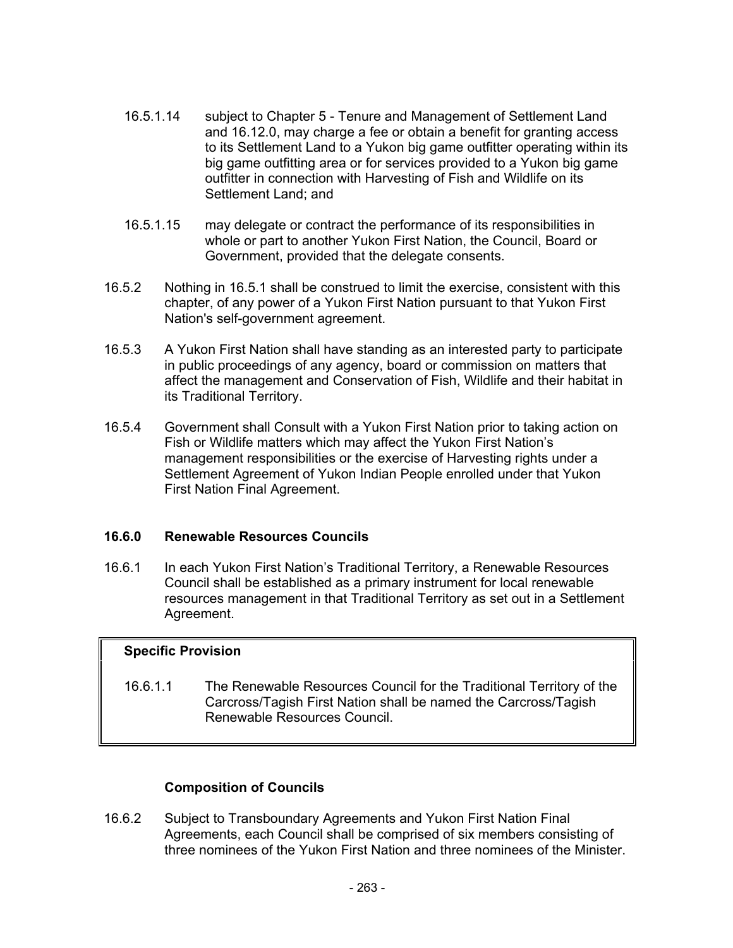- 16.5.1.14 subject to Chapter 5 Tenure and Management of Settlement Land and 16.12.0, may charge a fee or obtain a benefit for granting access to its Settlement Land to a Yukon big game outfitter operating within its big game outfitting area or for services provided to a Yukon big game outfitter in connection with Harvesting of Fish and Wildlife on its Settlement Land; and
- 16.5.1.15 may delegate or contract the performance of its responsibilities in whole or part to another Yukon First Nation, the Council, Board or Government, provided that the delegate consents.
- 16.5.2 Nothing in 16.5.1 shall be construed to limit the exercise, consistent with this chapter, of any power of a Yukon First Nation pursuant to that Yukon First Nation's self-government agreement.
- 16.5.3 A Yukon First Nation shall have standing as an interested party to participate in public proceedings of any agency, board or commission on matters that affect the management and Conservation of Fish, Wildlife and their habitat in its Traditional Territory.
- 16.5.4 Government shall Consult with a Yukon First Nation prior to taking action on Fish or Wildlife matters which may affect the Yukon First Nation's management responsibilities or the exercise of Harvesting rights under a Settlement Agreement of Yukon Indian People enrolled under that Yukon First Nation Final Agreement.

## **16.6.0 Renewable Resources Councils**

16.6.1 In each Yukon First Nation's Traditional Territory, a Renewable Resources Council shall be established as a primary instrument for local renewable resources management in that Traditional Territory as set out in a Settlement Agreement.

## **Specific Provision**

16.6.1.1 The Renewable Resources Council for the Traditional Territory of the Carcross/Tagish First Nation shall be named the Carcross/Tagish Renewable Resources Council.

## **Composition of Councils**

16.6.2 Subject to Transboundary Agreements and Yukon First Nation Final Agreements, each Council shall be comprised of six members consisting of three nominees of the Yukon First Nation and three nominees of the Minister.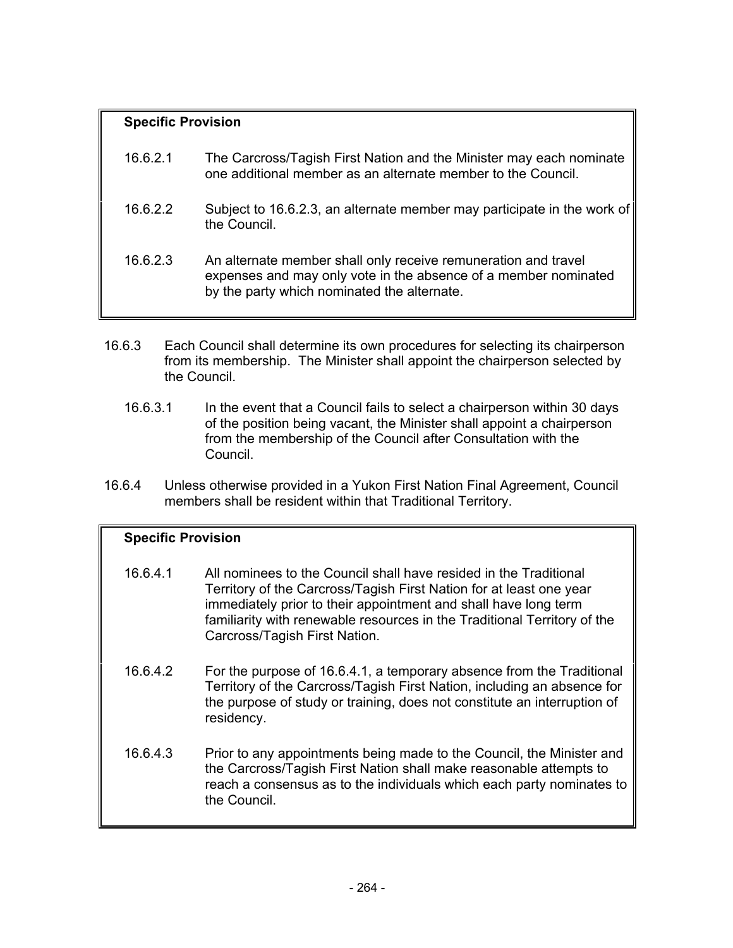# **Specific Provision** 16.6.2.1 The Carcross/Tagish First Nation and the Minister may each nominate one additional member as an alternate member to the Council. 16.6.2.2 Subject to 16.6.2.3, an alternate member may participate in the work of the Council. 16.6.2.3 An alternate member shall only receive remuneration and travel expenses and may only vote in the absence of a member nominated by the party which nominated the alternate.

- 16.6.3 Each Council shall determine its own procedures for selecting its chairperson from its membership. The Minister shall appoint the chairperson selected by the Council.
	- 16.6.3.1 In the event that a Council fails to select a chairperson within 30 days of the position being vacant, the Minister shall appoint a chairperson from the membership of the Council after Consultation with the Council.
- 16.6.4 Unless otherwise provided in a Yukon First Nation Final Agreement, Council members shall be resident within that Traditional Territory.

# **Specific Provision**

- 16.6.4.1 All nominees to the Council shall have resided in the Traditional Territory of the Carcross/Tagish First Nation for at least one year immediately prior to their appointment and shall have long term familiarity with renewable resources in the Traditional Territory of the Carcross/Tagish First Nation.
- 16.6.4.2 For the purpose of 16.6.4.1, a temporary absence from the Traditional Territory of the Carcross/Tagish First Nation, including an absence for the purpose of study or training, does not constitute an interruption of residency.
- 16.6.4.3 Prior to any appointments being made to the Council, the Minister and the Carcross/Tagish First Nation shall make reasonable attempts to reach a consensus as to the individuals which each party nominates to the Council.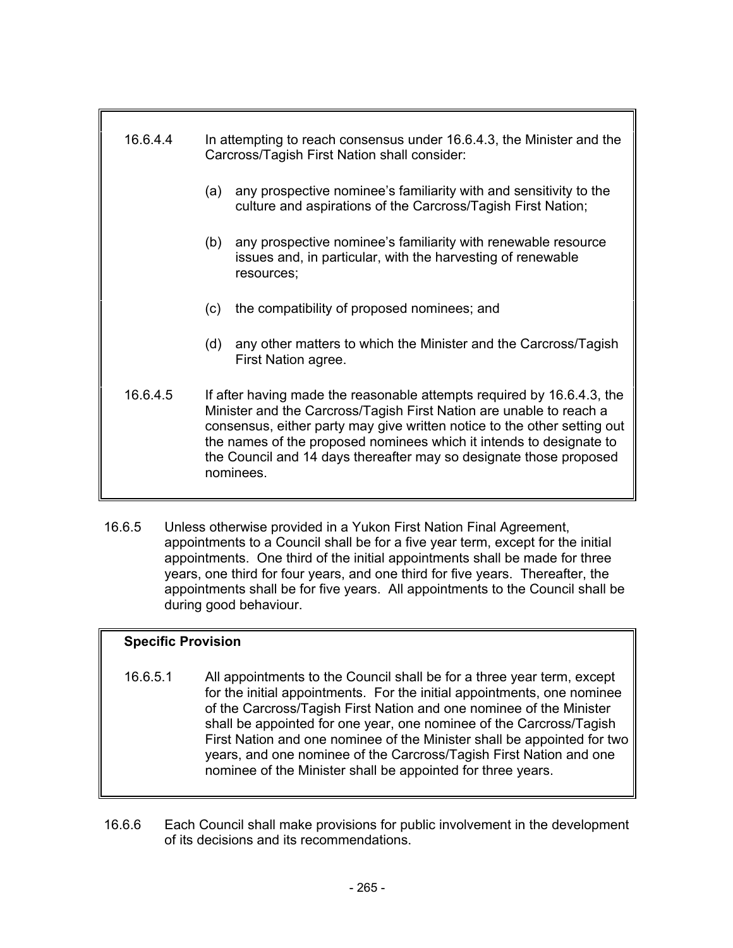| 16.6.4.4 | In attempting to reach consensus under 16.6.4.3, the Minister and the<br>Carcross/Tagish First Nation shall consider:                                                                                                                                                                                                                                                               |
|----------|-------------------------------------------------------------------------------------------------------------------------------------------------------------------------------------------------------------------------------------------------------------------------------------------------------------------------------------------------------------------------------------|
|          | any prospective nominee's familiarity with and sensitivity to the<br>(a)<br>culture and aspirations of the Carcross/Tagish First Nation;                                                                                                                                                                                                                                            |
|          | any prospective nominee's familiarity with renewable resource<br>(b)<br>issues and, in particular, with the harvesting of renewable<br>resources;                                                                                                                                                                                                                                   |
|          | the compatibility of proposed nominees; and<br>(c)                                                                                                                                                                                                                                                                                                                                  |
|          | any other matters to which the Minister and the Carcross/Tagish<br>(d)<br>First Nation agree.                                                                                                                                                                                                                                                                                       |
| 16.6.4.5 | If after having made the reasonable attempts required by 16.6.4.3, the<br>Minister and the Carcross/Tagish First Nation are unable to reach a<br>consensus, either party may give written notice to the other setting out<br>the names of the proposed nominees which it intends to designate to<br>the Council and 14 days thereafter may so designate those proposed<br>nominees. |

16.6.5 Unless otherwise provided in a Yukon First Nation Final Agreement, appointments to a Council shall be for a five year term, except for the initial appointments. One third of the initial appointments shall be made for three years, one third for four years, and one third for five years. Thereafter, the appointments shall be for five years. All appointments to the Council shall be during good behaviour.

## **Specific Provision**

- 16.6.5.1 All appointments to the Council shall be for a three year term, except for the initial appointments. For the initial appointments, one nominee of the Carcross/Tagish First Nation and one nominee of the Minister shall be appointed for one year, one nominee of the Carcross/Tagish First Nation and one nominee of the Minister shall be appointed for two years, and one nominee of the Carcross/Tagish First Nation and one nominee of the Minister shall be appointed for three years.
- 16.6.6 Each Council shall make provisions for public involvement in the development of its decisions and its recommendations.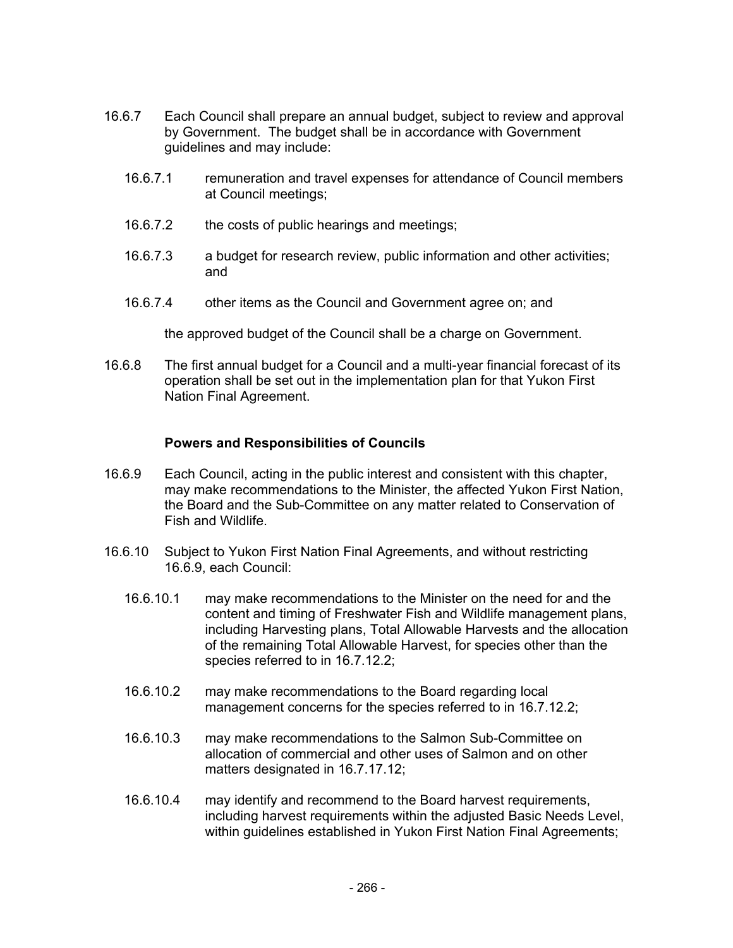- 16.6.7 Each Council shall prepare an annual budget, subject to review and approval by Government. The budget shall be in accordance with Government guidelines and may include:
	- 16.6.7.1 remuneration and travel expenses for attendance of Council members at Council meetings;
	- 16.6.7.2 the costs of public hearings and meetings;
	- 16.6.7.3 a budget for research review, public information and other activities; and
	- 16.6.7.4 other items as the Council and Government agree on; and

the approved budget of the Council shall be a charge on Government.

16.6.8 The first annual budget for a Council and a multi-year financial forecast of its operation shall be set out in the implementation plan for that Yukon First Nation Final Agreement.

#### **Powers and Responsibilities of Councils**

- 16.6.9 Each Council, acting in the public interest and consistent with this chapter, may make recommendations to the Minister, the affected Yukon First Nation, the Board and the Sub-Committee on any matter related to Conservation of Fish and Wildlife.
- 16.6.10 Subject to Yukon First Nation Final Agreements, and without restricting 16.6.9, each Council:
	- 16.6.10.1 may make recommendations to the Minister on the need for and the content and timing of Freshwater Fish and Wildlife management plans, including Harvesting plans, Total Allowable Harvests and the allocation of the remaining Total Allowable Harvest, for species other than the species referred to in 16.7.12.2;
	- 16.6.10.2 may make recommendations to the Board regarding local management concerns for the species referred to in 16.7.12.2;
	- 16.6.10.3 may make recommendations to the Salmon Sub-Committee on allocation of commercial and other uses of Salmon and on other matters designated in 16.7.17.12;
	- 16.6.10.4 may identify and recommend to the Board harvest requirements, including harvest requirements within the adjusted Basic Needs Level, within guidelines established in Yukon First Nation Final Agreements;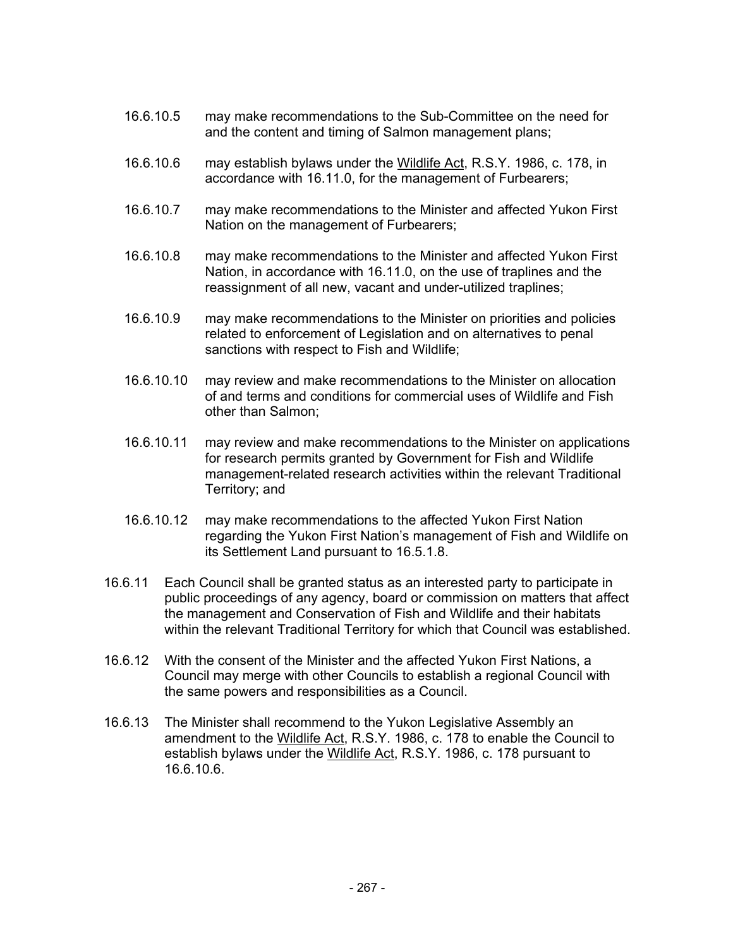- 16.6.10.5 may make recommendations to the Sub-Committee on the need for and the content and timing of Salmon management plans;
- 16.6.10.6 may establish bylaws under the Wildlife Act, R.S.Y. 1986, c. 178, in accordance with 16.11.0, for the management of Furbearers;
- 16.6.10.7 may make recommendations to the Minister and affected Yukon First Nation on the management of Furbearers;
- 16.6.10.8 may make recommendations to the Minister and affected Yukon First Nation, in accordance with 16.11.0, on the use of traplines and the reassignment of all new, vacant and under-utilized traplines;
- 16.6.10.9 may make recommendations to the Minister on priorities and policies related to enforcement of Legislation and on alternatives to penal sanctions with respect to Fish and Wildlife;
- 16.6.10.10 may review and make recommendations to the Minister on allocation of and terms and conditions for commercial uses of Wildlife and Fish other than Salmon;
- 16.6.10.11 may review and make recommendations to the Minister on applications for research permits granted by Government for Fish and Wildlife management-related research activities within the relevant Traditional Territory; and
- 16.6.10.12 may make recommendations to the affected Yukon First Nation regarding the Yukon First Nation's management of Fish and Wildlife on its Settlement Land pursuant to 16.5.1.8.
- 16.6.11 Each Council shall be granted status as an interested party to participate in public proceedings of any agency, board or commission on matters that affect the management and Conservation of Fish and Wildlife and their habitats within the relevant Traditional Territory for which that Council was established.
- 16.6.12 With the consent of the Minister and the affected Yukon First Nations, a Council may merge with other Councils to establish a regional Council with the same powers and responsibilities as a Council.
- 16.6.13 The Minister shall recommend to the Yukon Legislative Assembly an amendment to the Wildlife Act, R.S.Y. 1986, c. 178 to enable the Council to establish bylaws under the Wildlife Act, R.S.Y. 1986, c. 178 pursuant to 16.6.10.6.